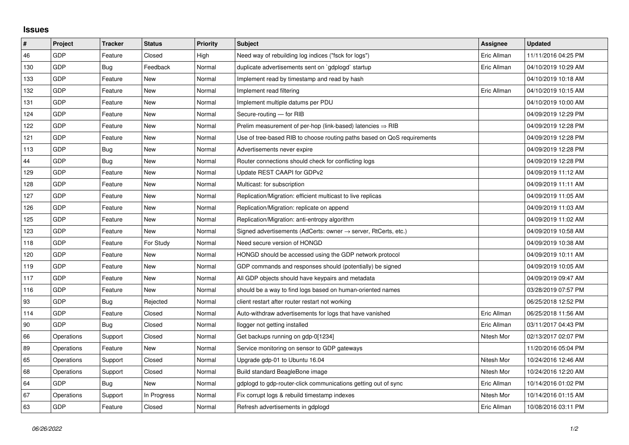## **Issues**

| $\vert$ # | Project    | <b>Tracker</b> | <b>Status</b> | <b>Priority</b> | <b>Subject</b>                                                             | <b>Assignee</b> | <b>Updated</b>      |
|-----------|------------|----------------|---------------|-----------------|----------------------------------------------------------------------------|-----------------|---------------------|
| 46        | GDP        | Feature        | Closed        | High            | Need way of rebuilding log indices ("fsck for logs")                       | Eric Allman     | 11/11/2016 04:25 PM |
| 130       | GDP        | Bug            | Feedback      | Normal          | duplicate advertisements sent on `gdplogd` startup                         | Eric Allman     | 04/10/2019 10:29 AM |
| 133       | GDP        | Feature        | New           | Normal          | Implement read by timestamp and read by hash                               |                 | 04/10/2019 10:18 AM |
| 132       | GDP        | Feature        | <b>New</b>    | Normal          | Implement read filtering                                                   | Eric Allman     | 04/10/2019 10:15 AM |
| 131       | GDP        | Feature        | <b>New</b>    | Normal          | Implement multiple datums per PDU                                          |                 | 04/10/2019 10:00 AM |
| 124       | GDP        | Feature        | New           | Normal          | Secure-routing - for RIB                                                   |                 | 04/09/2019 12:29 PM |
| 122       | GDP        | Feature        | <b>New</b>    | Normal          | Prelim measurement of per-hop (link-based) latencies $\Rightarrow$ RIB     |                 | 04/09/2019 12:28 PM |
| 121       | GDP        | Feature        | New           | Normal          | Use of tree-based RIB to choose routing paths based on QoS requirements    |                 | 04/09/2019 12:28 PM |
| 113       | GDP        | Bug            | New           | Normal          | Advertisements never expire                                                |                 | 04/09/2019 12:28 PM |
| 44        | GDP        | Bug            | New           | Normal          | Router connections should check for conflicting logs                       |                 | 04/09/2019 12:28 PM |
| 129       | GDP        | Feature        | New           | Normal          | Update REST CAAPI for GDPv2                                                |                 | 04/09/2019 11:12 AM |
| 128       | GDP        | Feature        | New           | Normal          | Multicast: for subscription                                                |                 | 04/09/2019 11:11 AM |
| 127       | GDP        | Feature        | <b>New</b>    | Normal          | Replication/Migration: efficient multicast to live replicas                |                 | 04/09/2019 11:05 AM |
| 126       | GDP        | Feature        | New           | Normal          | Replication/Migration: replicate on append                                 |                 | 04/09/2019 11:03 AM |
| 125       | GDP        | Feature        | New           | Normal          | Replication/Migration: anti-entropy algorithm                              |                 | 04/09/2019 11:02 AM |
| 123       | GDP        | Feature        | <b>New</b>    | Normal          | Signed advertisements (AdCerts: owner $\rightarrow$ server, RtCerts, etc.) |                 | 04/09/2019 10:58 AM |
| 118       | GDP        | Feature        | For Study     | Normal          | Need secure version of HONGD                                               |                 | 04/09/2019 10:38 AM |
| 120       | GDP        | Feature        | New           | Normal          | HONGD should be accessed using the GDP network protocol                    |                 | 04/09/2019 10:11 AM |
| 119       | GDP        | Feature        | <b>New</b>    | Normal          | GDP commands and responses should (potentially) be signed                  |                 | 04/09/2019 10:05 AM |
| 117       | GDP        | Feature        | New           | Normal          | All GDP objects should have keypairs and metadata                          |                 | 04/09/2019 09:47 AM |
| 116       | GDP        | Feature        | New           | Normal          | should be a way to find logs based on human-oriented names                 |                 | 03/28/2019 07:57 PM |
| 93        | GDP        | Bug            | Rejected      | Normal          | client restart after router restart not working                            |                 | 06/25/2018 12:52 PM |
| 114       | GDP        | Feature        | Closed        | Normal          | Auto-withdraw advertisements for logs that have vanished                   | Eric Allman     | 06/25/2018 11:56 AM |
| 90        | GDP        | Bug            | Closed        | Normal          | llogger not getting installed                                              | Eric Allman     | 03/11/2017 04:43 PM |
| 66        | Operations | Support        | Closed        | Normal          | Get backups running on gdp-0[1234]                                         | Nitesh Mor      | 02/13/2017 02:07 PM |
| 89        | Operations | Feature        | New           | Normal          | Service monitoring on sensor to GDP gateways                               |                 | 11/20/2016 05:04 PM |
| 65        | Operations | Support        | Closed        | Normal          | Upgrade gdp-01 to Ubuntu 16.04                                             | Nitesh Mor      | 10/24/2016 12:46 AM |
| 68        | Operations | Support        | Closed        | Normal          | Build standard BeagleBone image                                            | Nitesh Mor      | 10/24/2016 12:20 AM |
| 64        | GDP        | Bug            | New           | Normal          | gdplogd to gdp-router-click communications getting out of sync             | Eric Allman     | 10/14/2016 01:02 PM |
| 67        | Operations | Support        | In Progress   | Normal          | Fix corrupt logs & rebuild timestamp indexes                               | Nitesh Mor      | 10/14/2016 01:15 AM |
| 63        | GDP        | Feature        | Closed        | Normal          | Refresh advertisements in gdplogd                                          | Eric Allman     | 10/08/2016 03:11 PM |